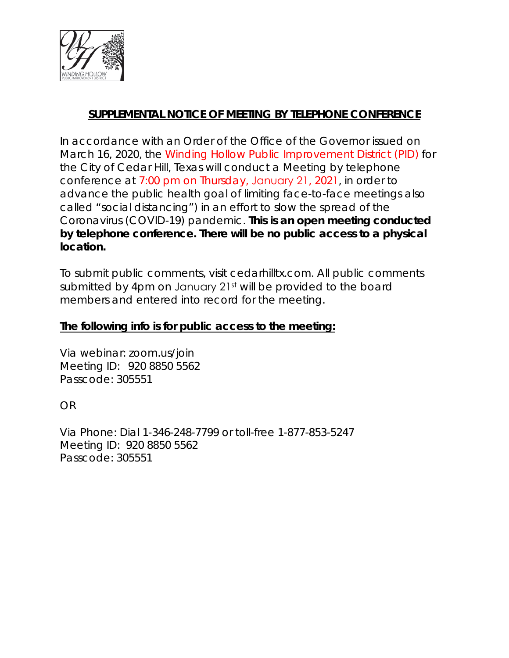

# **SUPPLEMENTAL NOTICE OF MEETING BY TELEPHONE CONFERENCE**

In accordance with an Order of the Office of the Governor issued on March 16, 2020, the Winding Hollow Public Improvement District (PID) for the City of Cedar Hill, Texas will conduct a Meeting by telephone conference at 7:00 pm on Thursday, January 21, 2021, in order to advance the public health goal of limiting face-to-face meetings also called "social distancing") in an effort to slow the spread of the Coronavirus (COVID-19) pandemic. **This is an open meeting conducted by telephone conference. There will be no public access to a physical location.**

To submit public comments, visit cedarhilltx.com. All public comments submitted by 4pm on January 21<sup>st</sup> will be provided to the board members and entered into record for the meeting.

### **The following info is for public access to the meeting:**

Via webinar: zoom.us/join Meeting ID: 920 8850 5562 Passcode: 305551

OR

Via Phone: Dial 1-346-248-7799 or toll-free 1-877-853-5247 Meeting ID: 920 8850 5562 Passcode: 305551